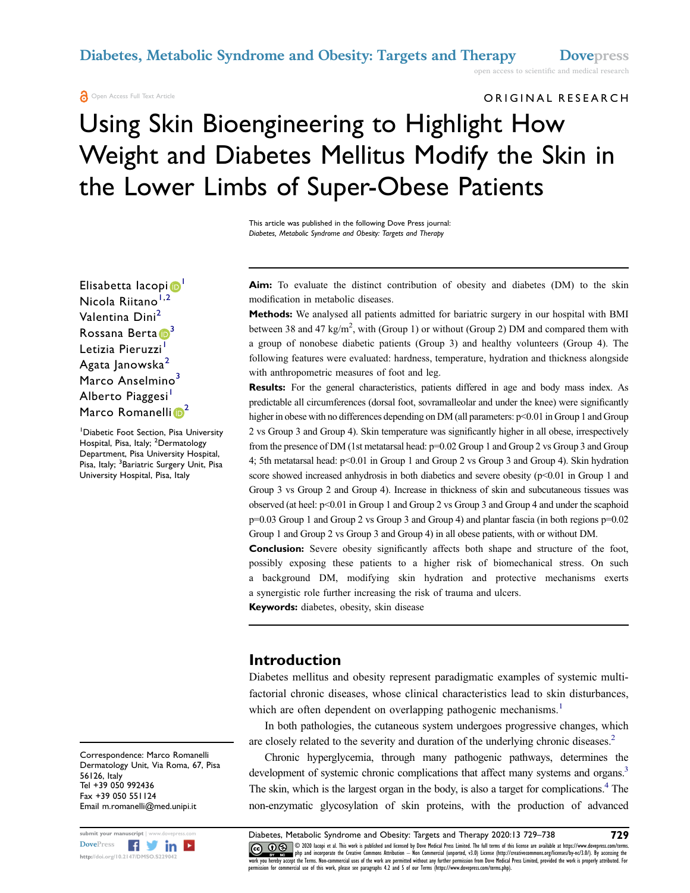ORIGINAL RESEARCH

# Using Skin Bioengineering to Highlight How Weight and Diabetes Mellitus Modify the Skin in the Lower Limbs of Super-Obese Patients

This article was published in the following Dove Press journal: Diabetes, Metabolic Syndrome and Obesity: Targets and Therapy

Elisabetta Iacopi<sup>6</sup> Nicola Riitano $1,2$  $1,2$  $1,2$ Valentina Dini<sup>[2](#page-0-1)</sup> Rossana Berta <sup>[3](#page-0-2)</sup> Letizia Pieruzzi<sup>[1](#page-0-0)</sup> Agata Janowska<sup>[2](#page-0-1)</sup> Marco Anselmino<sup>[3](#page-0-2)</sup> Alberto Piaggesi<sup>[1](#page-0-0)</sup> Marco Romanelli<sup>o<sup>[2](#page-0-1)</sup></sup>

<span id="page-0-2"></span><span id="page-0-1"></span><span id="page-0-0"></span><sup>1</sup> Diabetic Foot Section, Pisa University Hospital, Pisa, Italy; <sup>2</sup>Dermatology Department, Pisa University Hospital, Pisa, Italy; <sup>3</sup>Bariatric Surgery Unit, Pisa University Hospital, Pisa, Italy

Correspondence: Marco Romanelli Dermatology Unit, Via Roma, 67, Pisa 56126, Italy Tel +39 050 992436 Fax +39 050 551124 Email m.romanelli@med.unipi.it



Aim: To evaluate the distinct contribution of obesity and diabetes (DM) to the skin modification in metabolic diseases.

Methods: We analysed all patients admitted for bariatric surgery in our hospital with BMI between 38 and 47 kg/m<sup>2</sup>, with (Group 1) or without (Group 2) DM and compared them with a group of nonobese diabetic patients (Group 3) and healthy volunteers (Group 4). The following features were evaluated: hardness, temperature, hydration and thickness alongside with anthropometric measures of foot and leg.

Results: For the general characteristics, patients differed in age and body mass index. As predictable all circumferences (dorsal foot, sovramalleolar and under the knee) were significantly higher in obese with no differences depending on DM (all parameters:  $p<0.01$  in Group 1 and Group 2 vs Group 3 and Group 4). Skin temperature was significantly higher in all obese, irrespectively from the presence of DM (1st metatarsal head: p=0.02 Group 1 and Group 2 vs Group 3 and Group 4; 5th metatarsal head: p<0.01 in Group 1 and Group 2 vs Group 3 and Group 4). Skin hydration score showed increased anhydrosis in both diabetics and severe obesity (p<0.01 in Group 1 and Group 3 vs Group 2 and Group 4). Increase in thickness of skin and subcutaneous tissues was observed (at heel: p<0.01 in Group 1 and Group 2 vs Group 3 and Group 4 and under the scaphoid p=0.03 Group 1 and Group 2 vs Group 3 and Group 4) and plantar fascia (in both regions p=0.02 Group 1 and Group 2 vs Group 3 and Group 4) in all obese patients, with or without DM.

Conclusion: Severe obesity significantly affects both shape and structure of the foot, possibly exposing these patients to a higher risk of biomechanical stress. On such a background DM, modifying skin hydration and protective mechanisms exerts a synergistic role further increasing the risk of trauma and ulcers.

Keywords: diabetes, obesity, skin disease

#### Introduction

Diabetes mellitus and obesity represent paradigmatic examples of systemic multifactorial chronic diseases, whose clinical characteristics lead to skin disturbances, which are often dependent on overlapping pathogenic mechanisms.<sup>[1](#page-9-0)</sup>

<span id="page-0-4"></span><span id="page-0-3"></span>In both pathologies, the cutaneous system undergoes progressive changes, which are closely related to the severity and duration of the underlying chronic diseases.<sup>2</sup>

<span id="page-0-6"></span><span id="page-0-5"></span>Chronic hyperglycemia, through many pathogenic pathways, determines the development of systemic chronic complications that affect many systems and organs.<sup>3</sup> The skin, which is the largest organ in the body, is also a target for complications.<sup>[4](#page-9-3)</sup> The non-enzymatic glycosylation of skin proteins, with the production of advanced

submit your manuscript | www.dovepress.com **Diabetes, Metabolic Syndrome and Obesity: Targets and Therapy 2020:13 729–738** 729<br>DovePress **Figure 1999** 729 8 1000 atopiet at This work is published and licensed by Dove Medic Doverlands and the method of the term of this leaves on the set of the set of the set of the file term of this license are available at https://www.dovepress.com/terms.<br>http://doi.org/10.2147/DMSO.5229042 php and incorpret ission for commercial use of this work, please see paragraphs 4.2 and 5 of our Terms (https://www.dovepress.com/terms.php).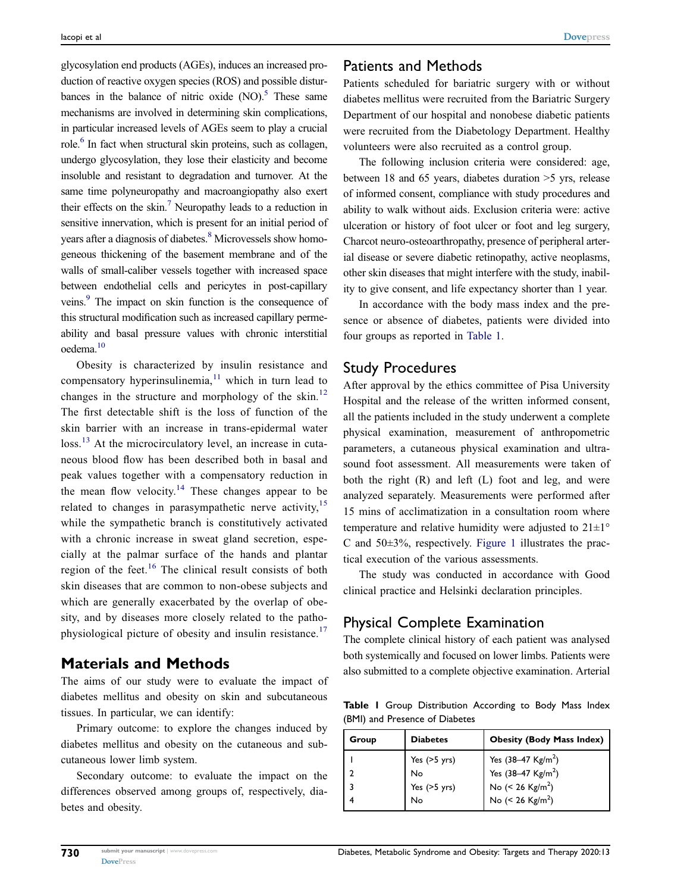<span id="page-1-3"></span><span id="page-1-2"></span><span id="page-1-1"></span>glycosylation end products (AGEs), induces an increased production of reactive oxygen species (ROS) and possible disturbances in the balance of nitric oxide  $(NO)$ <sup>5</sup>. These same mechanisms are involved in determining skin complications, in particular increased levels of AGEs seem to play a crucial role.<sup>6</sup> In fact when structural skin proteins, such as collagen, undergo glycosylation, they lose their elasticity and become insoluble and resistant to degradation and turnover. At the same time polyneuropathy and macroangiopathy also exert their effects on the skin.<sup>7</sup> Neuropathy leads to a reduction in sensitive innervation, which is present for an initial period of years after a diagnosis of diabetes.<sup>8</sup> Microvessels show homogeneous thickening of the basement membrane and of the walls of small-caliber vessels together with increased space between endothelial cells and pericytes in post-capillary veins.<sup>9</sup> The impact on skin function is the consequence of this structural modification such as increased capillary permeability and basal pressure values with chronic interstitial oedema[.10](#page-9-9)

<span id="page-1-11"></span><span id="page-1-10"></span><span id="page-1-9"></span><span id="page-1-8"></span><span id="page-1-7"></span><span id="page-1-6"></span><span id="page-1-5"></span><span id="page-1-4"></span>Obesity is characterized by insulin resistance and compensatory hyperinsulinemia, $11$  which in turn lead to changes in the structure and morphology of the skin.<sup>[12](#page-9-11)</sup> The first detectable shift is the loss of function of the skin barrier with an increase in trans-epidermal water loss.<sup>[13](#page-9-12)</sup> At the microcirculatory level, an increase in cutaneous blood flow has been described both in basal and peak values together with a compensatory reduction in the mean flow velocity.<sup>[14](#page-9-13)</sup> These changes appear to be related to changes in parasympathetic nerve activity,  $15$ while the sympathetic branch is constitutively activated with a chronic increase in sweat gland secretion, especially at the palmar surface of the hands and plantar region of the feet.<sup>[16](#page-9-15)</sup> The clinical result consists of both skin diseases that are common to non-obese subjects and which are generally exacerbated by the overlap of obesity, and by diseases more closely related to the patho-physiological picture of obesity and insulin resistance.<sup>[17](#page-9-16)</sup>

#### <span id="page-1-13"></span><span id="page-1-12"></span>Materials and Methods

The aims of our study were to evaluate the impact of diabetes mellitus and obesity on skin and subcutaneous tissues. In particular, we can identify:

Primary outcome: to explore the changes induced by diabetes mellitus and obesity on the cutaneous and subcutaneous lower limb system.

Secondary outcome: to evaluate the impact on the differences observed among groups of, respectively, diabetes and obesity.

#### Patients and Methods

Patients scheduled for bariatric surgery with or without diabetes mellitus were recruited from the Bariatric Surgery Department of our hospital and nonobese diabetic patients were recruited from the Diabetology Department. Healthy volunteers were also recruited as a control group.

The following inclusion criteria were considered: age, between 18 and 65 years, diabetes duration >5 yrs, release of informed consent, compliance with study procedures and ability to walk without aids. Exclusion criteria were: active ulceration or history of foot ulcer or foot and leg surgery, Charcot neuro-osteoarthropathy, presence of peripheral arterial disease or severe diabetic retinopathy, active neoplasms, other skin diseases that might interfere with the study, inability to give consent, and life expectancy shorter than 1 year.

In accordance with the body mass index and the presence or absence of diabetes, patients were divided into four groups as reported in [Table 1.](#page-1-0)

#### Study Procedures

After approval by the ethics committee of Pisa University Hospital and the release of the written informed consent, all the patients included in the study underwent a complete physical examination, measurement of anthropometric parameters, a cutaneous physical examination and ultrasound foot assessment. All measurements were taken of both the right (R) and left (L) foot and leg, and were analyzed separately. Measurements were performed after 15 mins of acclimatization in a consultation room where temperature and relative humidity were adjusted to  $21 \pm 1^\circ$ C and  $50\pm3\%$ , respectively. [Figure 1](#page-2-0) illustrates the practical execution of the various assessments.

The study was conducted in accordance with Good clinical practice and Helsinki declaration principles.

# Physical Complete Examination

The complete clinical history of each patient was analysed both systemically and focused on lower limbs. Patients were also submitted to a complete objective examination. Arterial

<span id="page-1-0"></span>Table I Group Distribution According to Body Mass Index (BMI) and Presence of Diabetes

| Group | <b>Diabetes</b>                              | <b>Obesity (Body Mass Index)</b>                                                                                                 |
|-------|----------------------------------------------|----------------------------------------------------------------------------------------------------------------------------------|
|       | Yes $(>5$ yrs)<br>No<br>Yes $(>5$ yrs)<br>No | Yes $(38-47 \text{ Kg/m}^2)$<br>Yes $(38-47 \text{ Kg/m}^2)$<br>No $(< 26$ Kg/m <sup>2</sup> )<br>No $(< 26$ Kg/m <sup>2</sup> ) |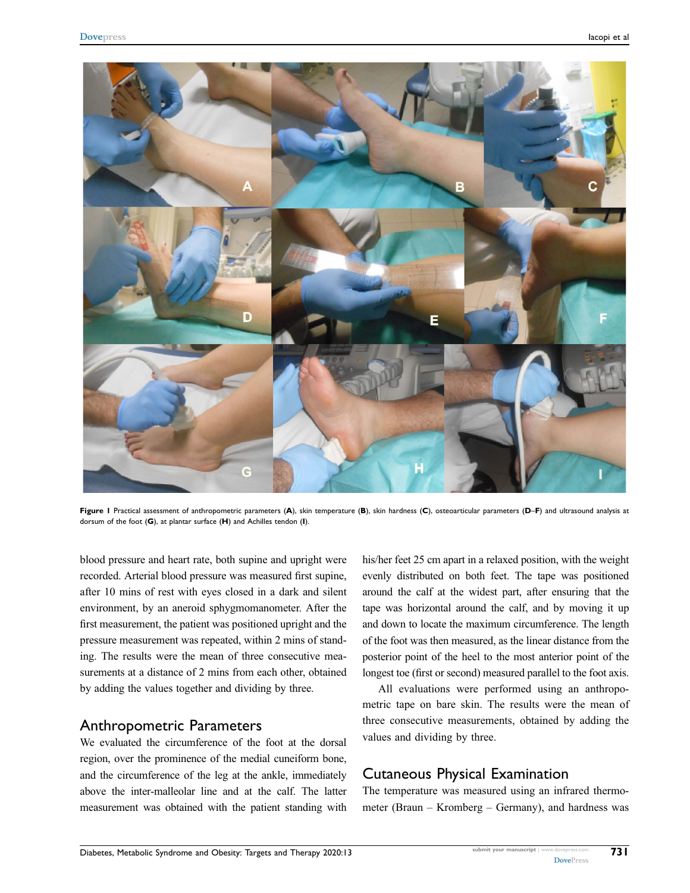<span id="page-2-0"></span>

Figure I Practical assessment of anthropometric parameters (A), skin temperature (B), skin hardness (C), osteoarticular parameters (D-F) and ultrasound analysis at dorsum of the foot (G), at plantar surface (H) and Achilles tendon (I).

blood pressure and heart rate, both supine and upright were recorded. Arterial blood pressure was measured first supine, after 10 mins of rest with eyes closed in a dark and silent environment, by an aneroid sphygmomanometer. After the first measurement, the patient was positioned upright and the pressure measurement was repeated, within 2 mins of standing. The results were the mean of three consecutive measurements at a distance of 2 mins from each other, obtained by adding the values together and dividing by three.

#### Anthropometric Parameters

We evaluated the circumference of the foot at the dorsal region, over the prominence of the medial cuneiform bone, and the circumference of the leg at the ankle, immediately above the inter-malleolar line and at the calf. The latter measurement was obtained with the patient standing with

his/her feet 25 cm apart in a relaxed position, with the weight evenly distributed on both feet. The tape was positioned around the calf at the widest part, after ensuring that the tape was horizontal around the calf, and by moving it up and down to locate the maximum circumference. The length of the foot was then measured, as the linear distance from the posterior point of the heel to the most anterior point of the longest toe (first or second) measured parallel to the foot axis.

All evaluations were performed using an anthropometric tape on bare skin. The results were the mean of three consecutive measurements, obtained by adding the values and dividing by three.

# Cutaneous Physical Examination

The temperature was measured using an infrared thermometer (Braun – Kromberg – Germany), and hardness was

731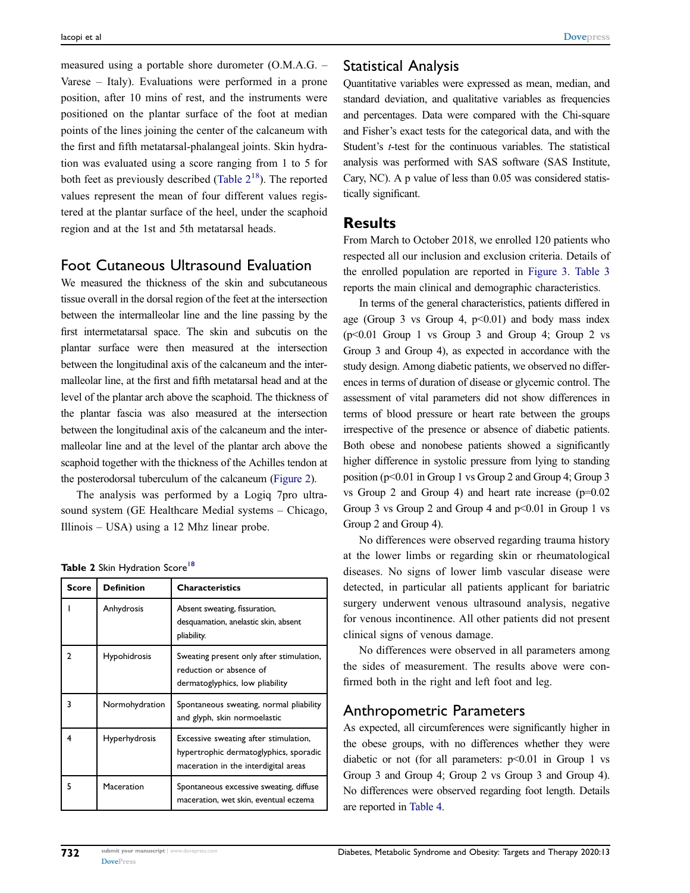measured using a portable shore durometer (O.M.A.G. – Varese – Italy). Evaluations were performed in a prone position, after 10 mins of rest, and the instruments were positioned on the plantar surface of the foot at median points of the lines joining the center of the calcaneum with the first and fifth metatarsal-phalangeal joints. Skin hydration was evaluated using a score ranging from 1 to 5 for both feet as previously described (Table  $2^{18}$  $2^{18}$  $2^{18}$ ). The reported values represent the mean of four different values registered at the plantar surface of the heel, under the scaphoid region and at the 1st and 5th metatarsal heads.

#### Foot Cutaneous Ultrasound Evaluation

We measured the thickness of the skin and subcutaneous tissue overall in the dorsal region of the feet at the intersection between the intermalleolar line and the line passing by the first intermetatarsal space. The skin and subcutis on the plantar surface were then measured at the intersection between the longitudinal axis of the calcaneum and the intermalleolar line, at the first and fifth metatarsal head and at the level of the plantar arch above the scaphoid. The thickness of the plantar fascia was also measured at the intersection between the longitudinal axis of the calcaneum and the intermalleolar line and at the level of the plantar arch above the scaphoid together with the thickness of the Achilles tendon at the posterodorsal tuberculum of the calcaneum [\(Figure 2\)](#page-4-0).

The analysis was performed by a Logiq 7pro ultrasound system (GE Healthcare Medial systems – Chicago, Illinois – USA) using a 12 Mhz linear probe.

<span id="page-3-1"></span><span id="page-3-0"></span>

|  |  |  | Table 2 Skin Hydration Score <sup>18</sup> |  |
|--|--|--|--------------------------------------------|--|
|--|--|--|--------------------------------------------|--|

| <b>Score</b> | <b>Definition</b> | <b>Characteristics</b>                                                                                                  |
|--------------|-------------------|-------------------------------------------------------------------------------------------------------------------------|
|              | Anhydrosis        | Absent sweating, fissuration,<br>desquamation, anelastic skin, absent<br>pliability.                                    |
| າ            | Hypohidrosis      | Sweating present only after stimulation,<br>reduction or absence of<br>dermatoglyphics, low pliability                  |
| ٦            | Normohydration    | Spontaneous sweating, normal pliability<br>and glyph, skin normoelastic                                                 |
| 4            | Hyperhydrosis     | Excessive sweating after stimulation,<br>hypertrophic dermatoglyphics, sporadic<br>maceration in the interdigital areas |
| 5            | Maceration        | Spontaneous excessive sweating, diffuse<br>maceration, wet skin, eventual eczema                                        |

### Statistical Analysis

Quantitative variables were expressed as mean, median, and standard deviation, and qualitative variables as frequencies and percentages. Data were compared with the Chi-square and Fisher's exact tests for the categorical data, and with the Student's t-test for the continuous variables. The statistical analysis was performed with SAS software (SAS Institute, Cary, NC). A p value of less than 0.05 was considered statistically significant.

#### **Results**

From March to October 2018, we enrolled 120 patients who respected all our inclusion and exclusion criteria. Details of the enrolled population are reported in [Figure 3.](#page-4-1) [Table 3](#page-5-0) reports the main clinical and demographic characteristics.

In terms of the general characteristics, patients differed in age (Group 3 vs Group 4,  $p<0.01$ ) and body mass index (p<0.01 Group 1 vs Group 3 and Group 4; Group 2 vs Group 3 and Group 4), as expected in accordance with the study design. Among diabetic patients, we observed no differences in terms of duration of disease or glycemic control. The assessment of vital parameters did not show differences in terms of blood pressure or heart rate between the groups irrespective of the presence or absence of diabetic patients. Both obese and nonobese patients showed a significantly higher difference in systolic pressure from lying to standing position (p<0.01 in Group 1 vs Group 2 and Group 4; Group 3 vs Group 2 and Group 4) and heart rate increase  $(p=0.02)$ Group 3 vs Group 2 and Group 4 and  $p<0.01$  in Group 1 vs Group 2 and Group 4).

No differences were observed regarding trauma history at the lower limbs or regarding skin or rheumatological diseases. No signs of lower limb vascular disease were detected, in particular all patients applicant for bariatric surgery underwent venous ultrasound analysis, negative for venous incontinence. All other patients did not present clinical signs of venous damage.

No differences were observed in all parameters among the sides of measurement. The results above were confirmed both in the right and left foot and leg.

#### Anthropometric Parameters

As expected, all circumferences were significantly higher in the obese groups, with no differences whether they were diabetic or not (for all parameters:  $p<0.01$  in Group 1 vs Group 3 and Group 4; Group 2 vs Group 3 and Group 4). No differences were observed regarding foot length. Details are reported in [Table 4](#page-5-1).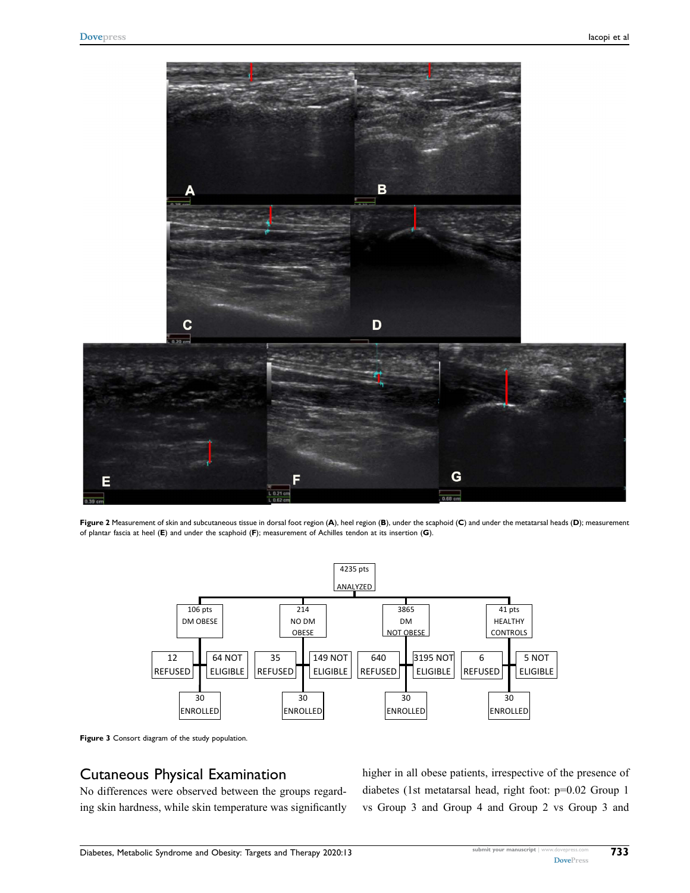<span id="page-4-0"></span>

<span id="page-4-1"></span>Figure 2 Measurement of skin and subcutaneous tissue in dorsal foot region (A), heel region (B), under the scaphoid (C) and under the metatarsal heads (D); measurement of plantar fascia at heel (E) and under the scaphoid (F); measurement of Achilles tendon at its insertion (G).





### Cutaneous Physical Examination

No differences were observed between the groups regarding skin hardness, while skin temperature was significantly higher in all obese patients, irrespective of the presence of diabetes (1st metatarsal head, right foot: p=0.02 Group 1 vs Group 3 and Group 4 and Group 2 vs Group 3 and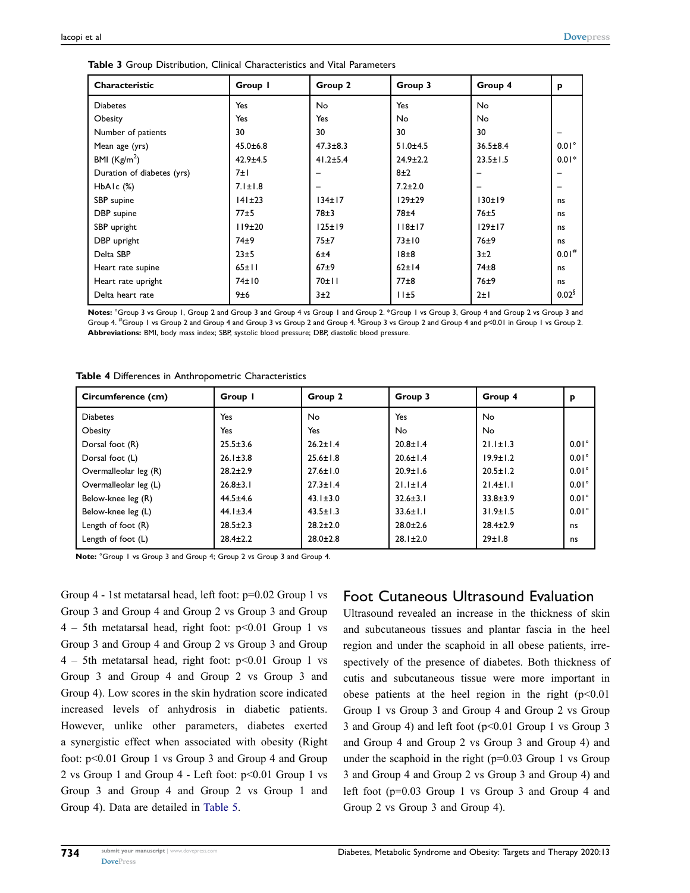| Characteristic             | Group I        | Group 2        | Group 3          | Group 4        | p                   |
|----------------------------|----------------|----------------|------------------|----------------|---------------------|
| <b>Diabetes</b>            | Yes            | <b>No</b>      | Yes              | <b>No</b>      |                     |
| Obesity                    | Yes            | Yes            | No               | No             |                     |
| Number of patients         | 30             | 30             | 30               | 30             |                     |
| Mean age (yrs)             | $45.0 \pm 6.8$ | $47.3 \pm 8.3$ | $51.0 + 4.5$     | $36.5 \pm 8.4$ | $0.01^\circ$        |
| BMI $(Kg/m2)$              | $42.9 \pm 4.5$ | $41.2 \pm 5.4$ | $24.9 \pm 2.2$   | $23.5 \pm 1.5$ | $0.01*$             |
| Duration of diabetes (yrs) | 7±I            |                | 8±2              |                |                     |
| HbAIc $(\%)$               | $7.1 \pm 1.8$  |                | $7.2 \pm 2.0$    |                |                     |
| SBP supine                 | 141±23         | 134±17         | $129\pm29$       | 130±19         | ns                  |
| DBP supine                 | 77±5           | 78±3           | 78 <sup>±4</sup> | 76±5           | ns                  |
| SBP upright                | 119±20         | 125±19         | 118±17           | 129±17         | ns                  |
| DBP upright                | 74±9           | 75±7           | 73±10            | 76±9           | ns                  |
| Delta SBP                  | 23±5           | 6±4            | 18±8             | 3±2            | $0.01$ <sup>#</sup> |
| Heart rate supine          | 65±11          | $67+9$         | 62±14            | $74\pm8$       | ns                  |
| Heart rate upright         | 74±10          | 70±11          | $77\pm8$         | 76±9           | ns                  |
| Delta heart rate           | 9±6            | 3±2            | 11±5             | $2 \pm 1$      | 0.02 <sup>6</sup>   |

<span id="page-5-0"></span>Table 3 Group Distribution, Clinical Characteristics and Vital Parameters

Notes: °Group 3 vs Group 1, Group 2 and Group 3 and Group 4 vs Group 1 and Group 2. \*Group 1 vs Group 4 and Group 2 vs Group 3 and Group 4. <sup>#</sup>Group 1 vs Group 2 and Group 4 and Group 3 vs Group 2 and Group 4.  $\overline{\ }$ Group 2 sad Group 4 and p<0.01 in Group 1 vs Group 2. Abbreviations: BMI, body mass index; SBP, systolic blood pressure; DBP, diastolic blood pressure.

| Circumference (cm)    | Group I        | Group 2        | Group 3        | Group 4        | p            |
|-----------------------|----------------|----------------|----------------|----------------|--------------|
| <b>Diabetes</b>       | Yes            | No.            | Yes            | <b>No</b>      |              |
| Obesity               | Yes            | Yes            | No.            | No.            |              |
| Dorsal foot (R)       | $25.5 \pm 3.6$ | $26.2 \pm 1.4$ | $20.8 \pm 1.4$ | $21.1 \pm 1.3$ | $0.01^\circ$ |
| Dorsal foot (L)       | $26.1 \pm 3.8$ | $25.6 \pm 1.8$ | $20.6 \pm 1.4$ | $19.9 \pm 1.2$ | $0.01^\circ$ |
| Overmalleolar leg (R) | $28.2 \pm 2.9$ | $27.6 \pm 1.0$ | $20.9 \pm 1.6$ | $20.5 \pm 1.2$ | $0.01^\circ$ |
| Overmalleolar leg (L) | $26.8 \pm 3.1$ | $27.3 \pm 1.4$ | $21.1 \pm 1.4$ | $21.4 \pm 1.1$ | $0.01^\circ$ |
| Below-knee leg (R)    | $44.5 \pm 4.6$ | $43.1 \pm 3.0$ | $32.6 \pm 3.1$ | $33.8 \pm 3.9$ | $0.01^\circ$ |
| Below-knee leg (L)    | $44.1 \pm 3.4$ | $43.5 \pm 1.3$ | $33.6 \pm 1.1$ | $31.9 \pm 1.5$ | $0.01^\circ$ |
| Length of foot (R)    | $28.5 \pm 2.3$ | $28.2 \pm 2.0$ | $28.0 \pm 2.6$ | $28.4 \pm 2.9$ | ns           |
| Length of foot (L)    | $28.4 \pm 2.2$ | $28.0 \pm 2.8$ | $28.1 \pm 2.0$ | 29±1.8         | ns           |

<span id="page-5-1"></span>Table 4 Differences in Anthropometric Characteristics

Note: °Group 1 vs Group 3 and Group 4; Group 2 vs Group 3 and Group 4.

Group 4 - 1st metatarsal head, left foot: p=0.02 Group 1 vs Group 3 and Group 4 and Group 2 vs Group 3 and Group  $4 - 5$ th metatarsal head, right foot:  $p < 0.01$  Group 1 vs Group 3 and Group 4 and Group 2 vs Group 3 and Group  $4 - 5$ th metatarsal head, right foot:  $p < 0.01$  Group 1 vs Group 3 and Group 4 and Group 2 vs Group 3 and Group 4). Low scores in the skin hydration score indicated increased levels of anhydrosis in diabetic patients. However, unlike other parameters, diabetes exerted a synergistic effect when associated with obesity (Right foot: p<0.01 Group 1 vs Group 3 and Group 4 and Group 2 vs Group 1 and Group 4 - Left foot: p<0.01 Group 1 vs Group 3 and Group 4 and Group 2 vs Group 1 and Group 4). Data are detailed in [Table 5](#page-6-0).

#### Foot Cutaneous Ultrasound Evaluation

Ultrasound revealed an increase in the thickness of skin and subcutaneous tissues and plantar fascia in the heel region and under the scaphoid in all obese patients, irrespectively of the presence of diabetes. Both thickness of cutis and subcutaneous tissue were more important in obese patients at the heel region in the right  $(p<0.01$ Group 1 vs Group 3 and Group 4 and Group 2 vs Group 3 and Group 4) and left foot (p<0.01 Group 1 vs Group 3 and Group 4 and Group 2 vs Group 3 and Group 4) and under the scaphoid in the right  $(p=0.03$  Group 1 vs Group 3 and Group 4 and Group 2 vs Group 3 and Group 4) and left foot (p=0.03 Group 1 vs Group 3 and Group 4 and Group 2 vs Group 3 and Group 4).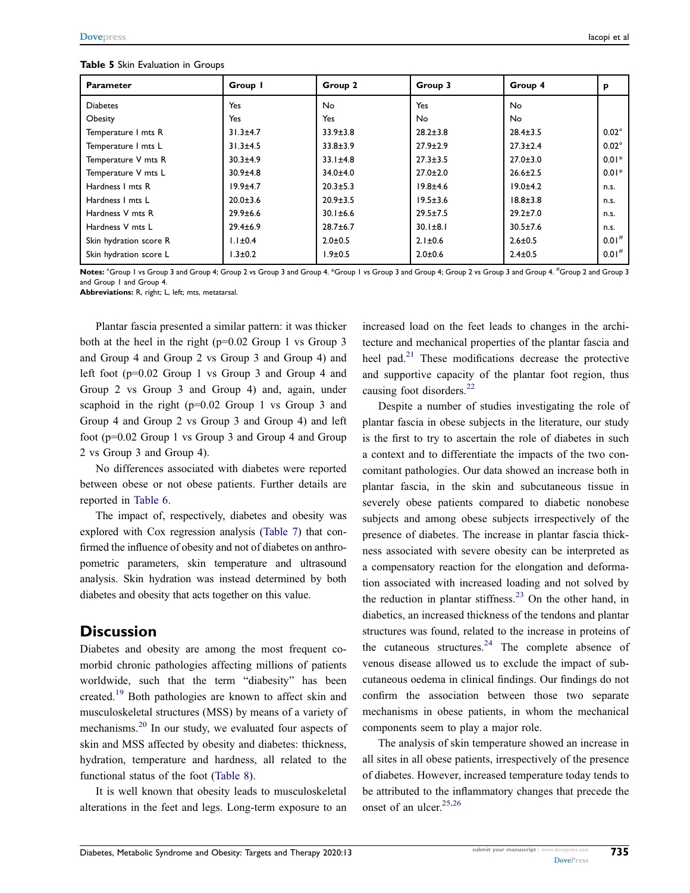#### <span id="page-6-0"></span>Table 5 Skin Evaluation in Groups

| <b>Parameter</b>       | Group I        | Group 2        | Group 3        | Group 4        | р                   |
|------------------------|----------------|----------------|----------------|----------------|---------------------|
| <b>Diabetes</b>        | Yes            | N <sub>o</sub> | Yes            | <b>No</b>      |                     |
| Obesity                | Yes            | Yes            | No             | No.            |                     |
| Temperature I mts R    | $31.3 + 4.7$   | $33.9 \pm 3.8$ | $28.2 \pm 3.8$ | $28.4 \pm 3.5$ | $0.02^\circ$        |
| Temperature I mts L    | $31.3 + 4.5$   | $33.8 \pm 3.9$ | $27.9 \pm 2.9$ | $27.3 \pm 2.4$ | $0.02^\circ$        |
| Temperature V mts R    | $30.3 + 4.9$   | $33.1 \pm 4.8$ | $27.3 \pm 3.5$ | $27.0 \pm 3.0$ | $0.01*$             |
| Temperature V mts L    | $30.9 + 4.8$   | $34.0 + 4.0$   | $27.0 \pm 2.0$ | $26.6 \pm 2.5$ | $0.01*$             |
| Hardness I mts R       | $19.9 + 4.7$   | $20.3 \pm 5.3$ | $19.8 + 4.6$   | $19.0 + 4.2$   | n.s.                |
| Hardness I mts L       | $20.0 \pm 3.6$ | $20.9 \pm 3.5$ | $19.5 \pm 3.6$ | $18.8 \pm 3.8$ | n.s.                |
| Hardness V mts R       | $29.9 \pm 6.6$ | $30.1 \pm 6.6$ | $29.5 \pm 7.5$ | $29.2 \pm 7.0$ | n.s.                |
| Hardness V mts L       | $29.4 \pm 6.9$ | $28.7 \pm 6.7$ | $30.1 \pm 8.1$ | $30.5 \pm 7.6$ | n.s.                |
| Skin hydration score R | $1.1 \pm 0.4$  | $2.0 \pm 0.5$  | $2.1 \pm 0.6$  | $2.6 \pm 0.5$  | $0.01^{#}$          |
| Skin hydration score L | $1.3 \pm 0.2$  | $1.9 + 0.5$    | $2.0 + 0.6$    | $2.4 \pm 0.5$  | $0.01$ <sup>#</sup> |

Notes: °Group I vs Group 3 and Group 4; Group 2 vs Group 3 and Group 1 \*Group 3 and Group 4; Group 2 vs Group 3 and Group 4. #Group 2 and Group 3 and Group 1 and Group 4.

Abbreviations: R, right; L, left; mts, metatarsal.

Plantar fascia presented a similar pattern: it was thicker both at the heel in the right (p=0.02 Group 1 vs Group 3 and Group 4 and Group 2 vs Group 3 and Group 4) and left foot (p=0.02 Group 1 vs Group 3 and Group 4 and Group 2 vs Group 3 and Group 4) and, again, under scaphoid in the right (p=0.02 Group 1 vs Group 3 and Group 4 and Group 2 vs Group 3 and Group 4) and left foot (p=0.02 Group 1 vs Group 3 and Group 4 and Group 2 vs Group 3 and Group 4).

No differences associated with diabetes were reported between obese or not obese patients. Further details are reported in [Table 6](#page-7-0).

The impact of, respectively, diabetes and obesity was explored with Cox regression analysis ([Table 7](#page-8-0)) that confirmed the influence of obesity and not of diabetes on anthropometric parameters, skin temperature and ultrasound analysis. Skin hydration was instead determined by both diabetes and obesity that acts together on this value.

#### **Discussion**

<span id="page-6-1"></span>Diabetes and obesity are among the most frequent comorbid chronic pathologies affecting millions of patients worldwide, such that the term "diabesity" has been created.[19](#page-9-18) Both pathologies are known to affect skin and musculoskeletal structures (MSS) by means of a variety of mechanisms.<sup>[20](#page-9-19)</sup> In our study, we evaluated four aspects of skin and MSS affected by obesity and diabetes: thickness, hydration, temperature and hardness, all related to the functional status of the foot ([Table 8](#page-8-1)).

<span id="page-6-2"></span>It is well known that obesity leads to musculoskeletal alterations in the feet and legs. Long-term exposure to an <span id="page-6-3"></span>increased load on the feet leads to changes in the architecture and mechanical properties of the plantar fascia and heel pad. $21$  These modifications decrease the protective and supportive capacity of the plantar foot region, thus causing foot disorders.<sup>[22](#page-9-21)</sup>

<span id="page-6-4"></span>Despite a number of studies investigating the role of plantar fascia in obese subjects in the literature, our study is the first to try to ascertain the role of diabetes in such a context and to differentiate the impacts of the two concomitant pathologies. Our data showed an increase both in plantar fascia, in the skin and subcutaneous tissue in severely obese patients compared to diabetic nonobese subjects and among obese subjects irrespectively of the presence of diabetes. The increase in plantar fascia thickness associated with severe obesity can be interpreted as a compensatory reaction for the elongation and deformation associated with increased loading and not solved by the reduction in plantar stiffness.<sup>[23](#page-9-22)</sup> On the other hand, in diabetics, an increased thickness of the tendons and plantar structures was found, related to the increase in proteins of the cutaneous structures. $24$  The complete absence of venous disease allowed us to exclude the impact of subcutaneous oedema in clinical findings. Our findings do not confirm the association between those two separate mechanisms in obese patients, in whom the mechanical components seem to play a major role.

<span id="page-6-7"></span><span id="page-6-6"></span><span id="page-6-5"></span>The analysis of skin temperature showed an increase in all sites in all obese patients, irrespectively of the presence of diabetes. However, increased temperature today tends to be attributed to the inflammatory changes that precede the onset of an ulcer. $25,26$  $25,26$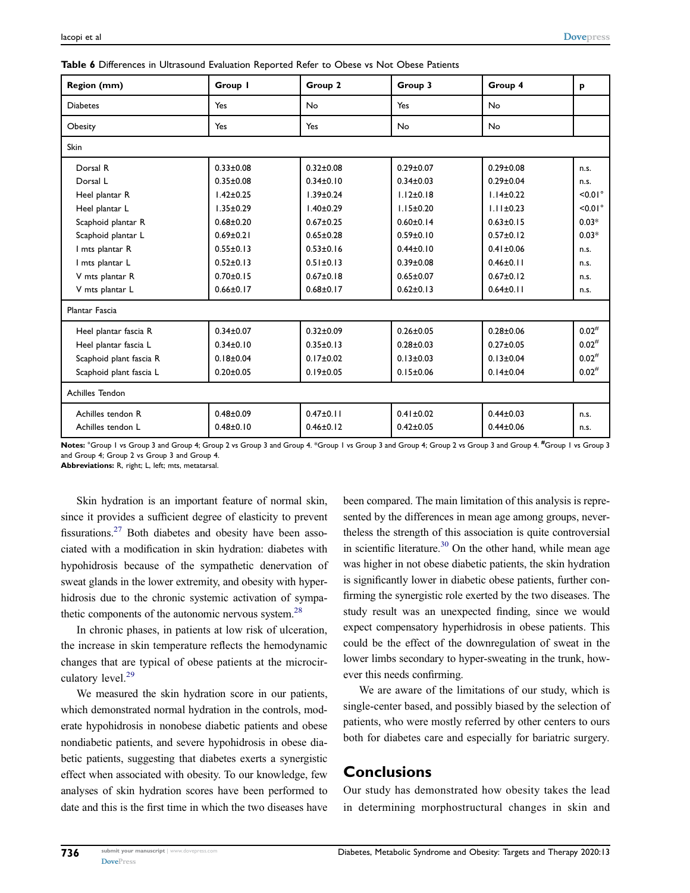<span id="page-7-0"></span>

| Region (mm)             | Group I         | Group 2         | Group 3         | Group 4         | p          |  |  |
|-------------------------|-----------------|-----------------|-----------------|-----------------|------------|--|--|
| <b>Diabetes</b>         | Yes             | <b>No</b>       | Yes             | No              |            |  |  |
| Obesity                 | Yes             | Yes             | No              | No              |            |  |  |
| Skin                    |                 |                 |                 |                 |            |  |  |
| Dorsal R                | $0.33 \pm 0.08$ | $0.32 \pm 0.08$ | $0.29 \pm 0.07$ | $0.29 \pm 0.08$ | n.s.       |  |  |
| Dorsal L                | $0.35 \pm 0.08$ | $0.34 \pm 0.10$ | $0.34 \pm 0.03$ | $0.29 \pm 0.04$ | n.s.       |  |  |
| Heel plantar R          | $1.42 \pm 0.25$ | $1.39 \pm 0.24$ | $1.12 \pm 0.18$ | $1.14 \pm 0.22$ | $< 0.01$ ° |  |  |
| Heel plantar L          | $1.35 \pm 0.29$ | $1.40 \pm 0.29$ | $1.15 \pm 0.20$ | $1.11 + 0.23$   | $< 0.01$ ° |  |  |
| Scaphoid plantar R      | $0.68 + 0.20$   | $0.67 + 0.25$   | $0.60 + 0.14$   | $0.63 + 0.15$   | $0.03*$    |  |  |
| Scaphoid plantar L      | $0.69 \pm 0.21$ | $0.65 \pm 0.28$ | $0.59 \pm 0.10$ | $0.57 \pm 0.12$ | $0.03*$    |  |  |
| I mts plantar R         | $0.55 \pm 0.13$ | $0.53 \pm 0.16$ | $0.44 \pm 0.10$ | $0.41 \pm 0.06$ | n.s.       |  |  |
| I mts plantar L         | $0.52 \pm 0.13$ | $0.51 \pm 0.13$ | $0.39 \pm 0.08$ | $0.46 \pm 0.11$ | n.s.       |  |  |
| V mts plantar R         | $0.70 + 0.15$   | $0.67 + 0.18$   | $0.65 + 0.07$   | $0.67 + 0.12$   | n.s.       |  |  |
| V mts plantar L         | $0.66 \pm 0.17$ | $0.68 \pm 0.17$ | $0.62 \pm 0.13$ | $0.64 \pm 0.11$ | n.s.       |  |  |
| Plantar Fascia          |                 |                 |                 |                 |            |  |  |
| Heel plantar fascia R   | $0.34 \pm 0.07$ | $0.32 \pm 0.09$ | $0.26 \pm 0.05$ | $0.28 + 0.06$   | $0.02^{#}$ |  |  |
| Heel plantar fascia L   | $0.34 \pm 0.10$ | $0.35 \pm 0.13$ | $0.28 + 0.03$   | $0.27 + 0.05$   | $0.02^{#}$ |  |  |
| Scaphoid plant fascia R | $0.18 + 0.04$   | $0.17 \pm 0.02$ | $0.13 \pm 0.03$ | $0.13 + 0.04$   | $0.02^{#}$ |  |  |
| Scaphoid plant fascia L | $0.20 \pm 0.05$ | $0.19 \pm 0.05$ | $0.15 \pm 0.06$ | $0.14 \pm 0.04$ | $0.02^{#}$ |  |  |
| <b>Achilles Tendon</b>  |                 |                 |                 |                 |            |  |  |
| Achilles tendon R       | $0.48 + 0.09$   | $0.47 \pm 0.11$ | $0.41 \pm 0.02$ | $0.44 + 0.03$   | n.s.       |  |  |
| Achilles tendon L       | $0.48 + 0.10$   | $0.46 \pm 0.12$ | $0.42 \pm 0.05$ | $0.44 \pm 0.06$ | n.s.       |  |  |

Notes: °Group 1 vs Group 3 and Group 4; Group 2 vs Group 3 and Group 4. \*Group 3 wad Group 4; Group 2 vs Group 3 and Group 4. <sup>#</sup>Group 1 vs Group 3 and Group 4; Group 2 vs Group 3 and Group 4.

Abbreviations: R, right; L, left; mts, metatarsal.

<span id="page-7-1"></span>Skin hydration is an important feature of normal skin, since it provides a sufficient degree of elasticity to prevent fissurations.[27](#page-9-26) Both diabetes and obesity have been associated with a modification in skin hydration: diabetes with hypohidrosis because of the sympathetic denervation of sweat glands in the lower extremity, and obesity with hyperhidrosis due to the chronic systemic activation of sympathetic components of the autonomic nervous system.<sup>28</sup>

<span id="page-7-2"></span>In chronic phases, in patients at low risk of ulceration, the increase in skin temperature reflects the hemodynamic changes that are typical of obese patients at the microcir-culatory level.<sup>[29](#page-9-28)</sup>

<span id="page-7-3"></span>We measured the skin hydration score in our patients, which demonstrated normal hydration in the controls, moderate hypohidrosis in nonobese diabetic patients and obese nondiabetic patients, and severe hypohidrosis in obese diabetic patients, suggesting that diabetes exerts a synergistic effect when associated with obesity. To our knowledge, few analyses of skin hydration scores have been performed to date and this is the first time in which the two diseases have <span id="page-7-4"></span>been compared. The main limitation of this analysis is represented by the differences in mean age among groups, nevertheless the strength of this association is quite controversial in scientific literature.<sup>30</sup> On the other hand, while mean age was higher in not obese diabetic patients, the skin hydration is significantly lower in diabetic obese patients, further confirming the synergistic role exerted by the two diseases. The study result was an unexpected finding, since we would expect compensatory hyperhidrosis in obese patients. This could be the effect of the downregulation of sweat in the lower limbs secondary to hyper-sweating in the trunk, however this needs confirming.

We are aware of the limitations of our study, which is single-center based, and possibly biased by the selection of patients, who were mostly referred by other centers to ours both for diabetes care and especially for bariatric surgery.

# **Conclusions**

Our study has demonstrated how obesity takes the lead in determining morphostructural changes in skin and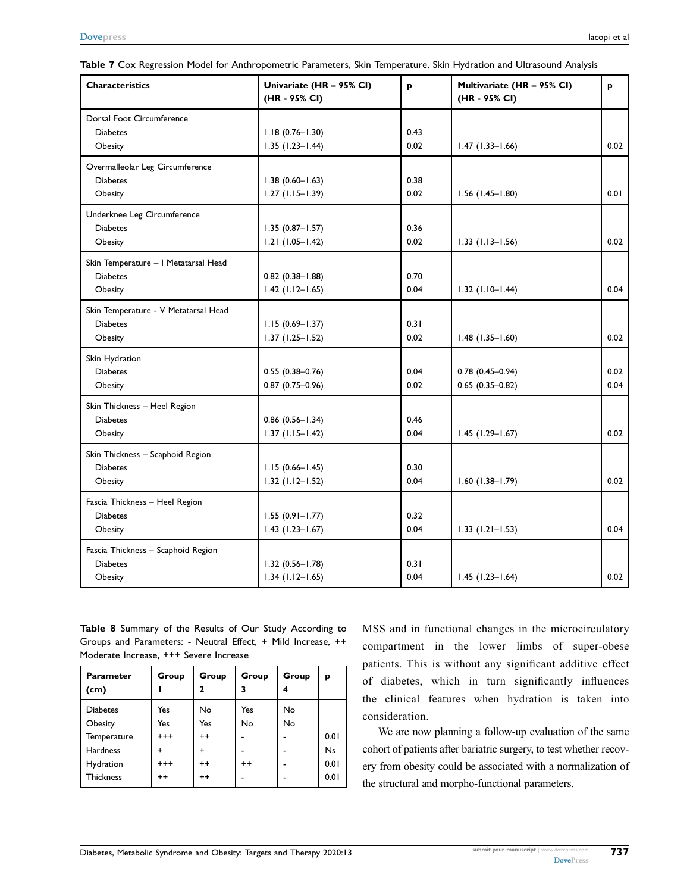| <b>Characteristics</b>               | Univariate (HR - 95% CI)<br>(HR - 95% CI) | p    | Multivariate (HR - 95% CI)<br>(HR - 95% CI) | p    |
|--------------------------------------|-------------------------------------------|------|---------------------------------------------|------|
| Dorsal Foot Circumference            |                                           |      |                                             |      |
| <b>Diabetes</b>                      | $1.18(0.76 - 1.30)$                       | 0.43 |                                             |      |
| Obesity                              | $1.35(1.23 - 1.44)$                       | 0.02 | $1.47(1.33 - 1.66)$                         | 0.02 |
| Overmalleolar Leg Circumference      |                                           |      |                                             |      |
| <b>Diabetes</b>                      | $1.38(0.60 - 1.63)$                       | 0.38 |                                             |      |
| Obesity                              | $1.27$ (1.15-1.39)                        | 0.02 | $1.56$ (1.45-1.80)                          | 0.01 |
| Underknee Leg Circumference          |                                           |      |                                             |      |
| <b>Diabetes</b>                      | $1.35(0.87 - 1.57)$                       | 0.36 |                                             |      |
| Obesity                              | $1.21(1.05 - 1.42)$                       | 0.02 | $1.33$ (1.13-1.56)                          | 0.02 |
| Skin Temperature - I Metatarsal Head |                                           |      |                                             |      |
| <b>Diabetes</b>                      | $0.82$ $(0.38 - 1.88)$                    | 0.70 |                                             |      |
| Obesity                              | $1.42$ (1.12-1.65)                        | 0.04 | $1.32$ (1.10-1.44)                          | 0.04 |
| Skin Temperature - V Metatarsal Head |                                           |      |                                             |      |
| <b>Diabetes</b>                      | $1.15(0.69 - 1.37)$                       | 0.31 |                                             |      |
| Obesity                              | $1.37(1.25 - 1.52)$                       | 0.02 | $1.48$ (1.35-1.60)                          | 0.02 |
| Skin Hydration                       |                                           |      |                                             |      |
| <b>Diabetes</b>                      | $0.55(0.38 - 0.76)$                       | 0.04 | $0.78(0.45 - 0.94)$                         | 0.02 |
| Obesity                              | $0.87(0.75 - 0.96)$                       | 0.02 | $0.65(0.35 - 0.82)$                         | 0.04 |
| Skin Thickness - Heel Region         |                                           |      |                                             |      |
| <b>Diabetes</b>                      | $0.86$ $(0.56 - 1.34)$                    | 0.46 |                                             |      |
| Obesity                              | $1.37(1.15 - 1.42)$                       | 0.04 | $1.45$ (1.29-1.67)                          | 0.02 |
| Skin Thickness - Scaphoid Region     |                                           |      |                                             |      |
| <b>Diabetes</b>                      | $1.15(0.66 - 1.45)$                       | 0.30 |                                             |      |
| Obesity                              | $1.32$ (1.12-1.52)                        | 0.04 | $1.60(1.38 - 1.79)$                         | 0.02 |
| Fascia Thickness - Heel Region       |                                           |      |                                             |      |
| <b>Diabetes</b>                      | $1.55(0.91 - 1.77)$                       | 0.32 |                                             |      |
| Obesity                              | $1.43$ (1.23-1.67)                        | 0.04 | $1.33$ (1.21-1.53)                          | 0.04 |
| Fascia Thickness - Scaphoid Region   |                                           |      |                                             |      |
| <b>Diabetes</b>                      | $1.32(0.56 - 1.78)$                       | 0.31 |                                             |      |
| Obesity                              | $1.34$ (1.12-1.65)                        | 0.04 | $1.45$ (1.23-1.64)                          | 0.02 |

<span id="page-8-0"></span>

|  |  |  | <b>Table 7</b> Cox Regression Model for Anthropometric Parameters, Skin Temperature, Skin Hydration and Ultrasound Analysis |  |  |  |  |  |
|--|--|--|-----------------------------------------------------------------------------------------------------------------------------|--|--|--|--|--|
|--|--|--|-----------------------------------------------------------------------------------------------------------------------------|--|--|--|--|--|

<span id="page-8-1"></span>Table 8 Summary of the Results of Our Study According to Groups and Parameters: - Neutral Effect, + Mild Increase, ++ Moderate Increase, +++ Severe Increase

| <b>Parameter</b><br>(cm) | Group    | Group<br>7 | Group<br>3 | Group | p         |
|--------------------------|----------|------------|------------|-------|-----------|
| <b>Diabetes</b>          | Yes      | <b>No</b>  | Yes        | No    |           |
| Obesity                  | Yes      | Yes        | No         | No    |           |
| Temperature              | $^{+++}$ | $^{++}$    |            |       | 0.01      |
| Hardness                 | +        | +          |            |       | <b>Ns</b> |
| Hydration                | $^{+++}$ | $^{++}$    | $++$       |       | 0.01      |
| <b>Thickness</b>         | $++$     | $^{++}$    |            |       | 0.01      |

MSS and in functional changes in the microcirculatory compartment in the lower limbs of super-obese patients. This is without any significant additive effect of diabetes, which in turn significantly influences the clinical features when hydration is taken into consideration.

We are now planning a follow-up evaluation of the same cohort of patients after bariatric surgery, to test whether recovery from obesity could be associated with a normalization of the structural and morpho-functional parameters.